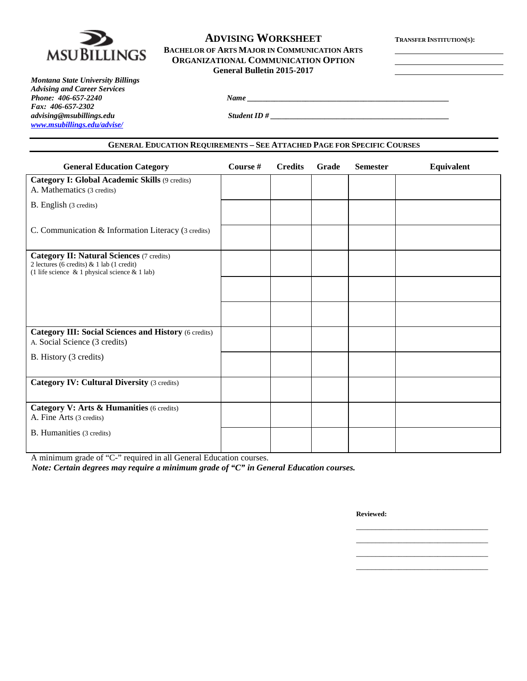

# **ADVISING WORKSHEET TRANSFER INSTITUTION(S): BACHELOR OF ARTS MAJOR IN COMMUNICATION ARTS ORGANIZATIONAL COMMUNICATION OPTION General Bulletin 2015-2017**

*Montana State University Billings Advising and Career Services Phone: 406-657-2240 Name \_\_\_\_\_\_\_\_\_\_\_\_\_\_\_\_\_\_\_\_\_\_\_\_\_\_\_\_\_\_\_\_\_\_\_\_\_\_\_\_\_\_\_\_\_\_\_\_\_\_\_\_ Fax: 406-657-2302 [www.msubillings.edu/advise/](http://www.msubillings.edu/advise/)*

*advising@msubillings.edu Student ID # \_\_\_\_\_\_\_\_\_\_\_\_\_\_\_\_\_\_\_\_\_\_\_\_\_\_\_\_\_\_\_\_\_\_\_\_\_\_\_\_\_\_\_\_\_\_*

## **GENERAL EDUCATION REQUIREMENTS – SEE ATTACHED PAGE FOR SPECIFIC COURSES**

| <b>General Education Category</b>                                                                                                                    | Course # | <b>Credits</b> | Grade | <b>Semester</b> | Equivalent |
|------------------------------------------------------------------------------------------------------------------------------------------------------|----------|----------------|-------|-----------------|------------|
| Category I: Global Academic Skills (9 credits)<br>A. Mathematics (3 credits)                                                                         |          |                |       |                 |            |
| B. English (3 credits)                                                                                                                               |          |                |       |                 |            |
| C. Communication & Information Literacy (3 credits)                                                                                                  |          |                |       |                 |            |
| <b>Category II: Natural Sciences (7 credits)</b><br>2 lectures (6 credits) & 1 lab (1 credit)<br>(1 life science $\&$ 1 physical science $\&$ 1 lab) |          |                |       |                 |            |
|                                                                                                                                                      |          |                |       |                 |            |
|                                                                                                                                                      |          |                |       |                 |            |
| <b>Category III: Social Sciences and History (6 credits)</b><br>A. Social Science (3 credits)                                                        |          |                |       |                 |            |
| B. History (3 credits)                                                                                                                               |          |                |       |                 |            |
| <b>Category IV: Cultural Diversity (3 credits)</b>                                                                                                   |          |                |       |                 |            |
| Category V: Arts & Humanities (6 credits)<br>A. Fine Arts (3 credits)                                                                                |          |                |       |                 |            |
| <b>B.</b> Humanities (3 credits)                                                                                                                     |          |                |       |                 |            |

A minimum grade of "C-" required in all General Education courses.

*Note: Certain degrees may require a minimum grade of "C" in General Education courses.*

**Reviewed:**

\_\_\_\_\_\_\_\_\_\_\_\_\_\_\_\_\_\_\_\_\_\_\_\_\_\_\_\_\_\_\_\_\_\_ \_\_\_\_\_\_\_\_\_\_\_\_\_\_\_\_\_\_\_\_\_\_\_\_\_\_\_\_\_\_\_\_\_\_ \_\_\_\_\_\_\_\_\_\_\_\_\_\_\_\_\_\_\_\_\_\_\_\_\_\_\_\_\_\_\_\_\_\_ \_\_\_\_\_\_\_\_\_\_\_\_\_\_\_\_\_\_\_\_\_\_\_\_\_\_\_\_\_\_\_\_\_\_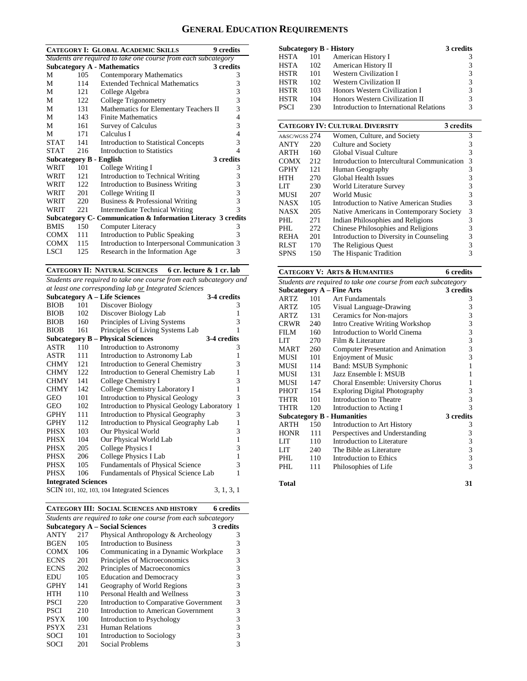# **GENERAL EDUCATION REQUIREMENTS**

| <b>CATEGORY I: GLOBAL ACADEMIC SKILLS</b><br>9 credits         |      |                                                                |   |  |
|----------------------------------------------------------------|------|----------------------------------------------------------------|---|--|
|                                                                |      | Students are required to take one course from each subcategory |   |  |
|                                                                |      | <b>Subcategory A - Mathematics</b><br>3 credits                |   |  |
| M                                                              | 105  | <b>Contemporary Mathematics</b>                                | 3 |  |
| М                                                              | 114  | <b>Extended Technical Mathematics</b>                          | 3 |  |
| M                                                              | 121  | College Algebra                                                | 3 |  |
| М                                                              | 122  | College Trigonometry                                           | 3 |  |
| М                                                              | 131  | Mathematics for Elementary Teachers II                         | 3 |  |
| М                                                              | 143  | <b>Finite Mathematics</b>                                      | 4 |  |
| М                                                              | 161  | <b>Survey of Calculus</b>                                      | 3 |  |
| М                                                              | 171  | Calculus I                                                     | 4 |  |
| <b>STAT</b>                                                    | 141  | <b>Introduction to Statistical Concepts</b>                    | 3 |  |
| <b>STAT</b>                                                    | 216  | Introduction to Statistics                                     | 4 |  |
| Subcategory B - English                                        |      | 3 credits                                                      |   |  |
| WRIT                                                           | 101  | College Writing I                                              | 3 |  |
| WRIT                                                           | 12.1 | Introduction to Technical Writing                              | 3 |  |
| WRIT                                                           | 122. | <b>Introduction to Business Writing</b>                        | 3 |  |
| WRIT                                                           | 201  | College Writing II                                             | 3 |  |
| WRIT                                                           | 220  | Business & Professional Writing                                | 3 |  |
| WRIT                                                           | 221  | <b>Intermediate Technical Writing</b>                          | 3 |  |
| Subcategory C - Communication & Information Literacy 3 credits |      |                                                                |   |  |
| <b>BMIS</b>                                                    | 150  | Computer Literacy                                              | 3 |  |
| COMX                                                           | 111  | Introduction to Public Speaking                                | 3 |  |
| <b>COMX</b>                                                    | 115  | Introduction to Interpersonal Communication 3                  |   |  |
| LSCI                                                           | 125  | Research in the Information Age                                | 3 |  |

**CATEGORY II: NATURAL SCIENCES 6 cr. lecture & 1 cr. lab**

*Students are required to take one course from each subcategory and at least one corresponding lab or Integrated Sciences*

|                            |     | <b>Subcategory A – Life Sciences</b>        | 3-4 credits  |  |
|----------------------------|-----|---------------------------------------------|--------------|--|
| <b>BIOB</b>                | 101 | Discover Biology                            | 3            |  |
| <b>BIOB</b>                | 102 | Discover Biology Lab                        | 1            |  |
| <b>BIOB</b>                | 160 | Principles of Living Systems                | 3            |  |
| <b>BIOB</b>                | 161 | Principles of Living Systems Lab            | 1            |  |
|                            |     | <b>Subcategory B – Physical Sciences</b>    | 3-4 credits  |  |
| ASTR                       | 110 | Introduction to Astronomy                   | 3            |  |
| ASTR                       | 111 | Introduction to Astronomy Lab               | 1            |  |
| <b>CHMY</b>                | 121 | Introduction to General Chemistry           | 3            |  |
| <b>CHMY</b>                | 122 | Introduction to General Chemistry Lab       | 1            |  |
| <b>CHMY</b>                | 141 | College Chemistry I                         | 3            |  |
| <b>CHMY</b>                | 142 | College Chemistry Laboratory I              | 1            |  |
| <b>GEO</b>                 | 101 | <b>Introduction to Physical Geology</b>     | 3            |  |
| GEO                        | 102 | Introduction to Physical Geology Laboratory | $\mathbf{1}$ |  |
| <b>GPHY</b>                | 111 | Introduction to Physical Geography          | 3            |  |
| <b>GPHY</b>                | 112 | Introduction to Physical Geography Lab      | $\mathbf{1}$ |  |
| PHSX                       | 103 | Our Physical World                          | 3            |  |
| PHSX                       | 104 | Our Physical World Lab                      | $\mathbf{1}$ |  |
| PHSX                       | 205 | College Physics I                           | 3            |  |
| PHSX                       | 206 | College Physics I Lab                       | $\mathbf{1}$ |  |
| PHSX                       | 105 | <b>Fundamentals of Physical Science</b>     | 3            |  |
| <b>PHSX</b>                | 106 | Fundamentals of Physical Science Lab        | 1            |  |
| <b>Integrated Sciences</b> |     |                                             |              |  |
|                            |     | SCIN 101, 102, 103, 104 Integrated Sciences | 3, 1, 3, 1   |  |

**CATEGORY III: SOCIAL SCIENCES AND HISTORY 6 credits**

| Students are required to take one course from each subcategory |     |                                        |           |  |
|----------------------------------------------------------------|-----|----------------------------------------|-----------|--|
|                                                                |     | <b>Subcategory A – Social Sciences</b> | 3 credits |  |
| <b>ANTY</b>                                                    | 217 | Physical Anthropology & Archeology     | 3         |  |
| <b>BGEN</b>                                                    | 105 | Introduction to Business               | 3         |  |
| <b>COMX</b>                                                    | 106 | Communicating in a Dynamic Workplace   | 3         |  |
| <b>ECNS</b>                                                    | 201 | Principles of Microeconomics           | 3         |  |
| <b>ECNS</b>                                                    | 202 | Principles of Macroeconomics           | 3         |  |
| EDU                                                            | 105 | <b>Education and Democracy</b>         | 3         |  |
| <b>GPHY</b>                                                    | 141 | Geography of World Regions             | 3         |  |
| <b>HTH</b>                                                     | 110 | Personal Health and Wellness           | 3         |  |
| <b>PSCI</b>                                                    | 220 | Introduction to Comparative Government | 3         |  |
| <b>PSCI</b>                                                    | 210 | Introduction to American Government    | 3         |  |
| <b>PSYX</b>                                                    | 100 | Introduction to Psychology             | 3         |  |
| <b>PSYX</b>                                                    | 231 | <b>Human Relations</b>                 | 3         |  |
| SOCI                                                           | 101 | Introduction to Sociology              | 3         |  |
| SOCI                                                           | 201 | Social Problems                        |           |  |

|             |     | <b>Subcategory B - History</b>          | 3 credits |
|-------------|-----|-----------------------------------------|-----------|
| <b>HSTA</b> | 101 | American History I                      | 3         |
| <b>HSTA</b> | 102 | American History II                     | 3         |
| <b>HSTR</b> | 101 | <b>Western Civilization I</b>           | 3         |
| <b>HSTR</b> | 102 | Western Civilization II                 | 3         |
| <b>HSTR</b> | 103 | Honors Western Civilization I           | 3         |
| <b>HSTR</b> | 104 | Honors Western Civilization II          | 3         |
| <b>PSCI</b> | 230 | Introduction to International Relations | 3         |

|               |     | <b>CATEGORY IV: CULTURAL DIVERSITY</b><br>3 credits |   |
|---------------|-----|-----------------------------------------------------|---|
| A&SC/WGSS 274 |     | Women, Culture, and Society                         | 3 |
| <b>ANTY</b>   | 220 | Culture and Society                                 | 3 |
| ARTH          | 160 | Global Visual Culture                               | 3 |
| <b>COMX</b>   | 212 | Introduction to Intercultural Communication         | 3 |
| <b>GPHY</b>   | 121 | Human Geography                                     | 3 |
| HTH           | 270 | <b>Global Health Issues</b>                         | 3 |
| LIT           | 230 | World Literature Survey                             | 3 |
| MUSI          | 207 | World Music                                         | 3 |
| <b>NASX</b>   | 105 | Introduction to Native American Studies             | 3 |
| <b>NASX</b>   | 205 | Native Americans in Contemporary Society            | 3 |
| PHL.          | 271 | Indian Philosophies and Religions                   | 3 |
| PHL           | 272 | Chinese Philosophies and Religions                  | 3 |
| <b>REHA</b>   | 201 | Introduction to Diversity in Counseling             | 3 |
| <b>RLST</b>   | 170 | The Religious Quest                                 | 3 |
| <b>SPNS</b>   | 150 | The Hispanic Tradition                              |   |

# **CATEGORY V: ARTS & HUMANITIES 6 credits**

| Students are required to take one course from each subcategory |     |                                        |                         |
|----------------------------------------------------------------|-----|----------------------------------------|-------------------------|
|                                                                |     | <b>Subcategory A - Fine Arts</b>       | 3 credits               |
| <b>ARTZ</b>                                                    | 101 | <b>Art Fundamentals</b>                | 3                       |
| ARTZ                                                           | 105 | Visual Language-Drawing                | 3                       |
| ARTZ                                                           | 131 | Ceramics for Non-majors                | 3                       |
| <b>CRWR</b>                                                    | 240 | <b>Intro Creative Writing Workshop</b> | 3                       |
| FILM                                                           | 160 | Introduction to World Cinema           | 3                       |
| LIT                                                            | 270 | Film & Literature                      | 3                       |
| <b>MART</b>                                                    | 260 | Computer Presentation and Animation    | 3                       |
| <b>MUSI</b>                                                    | 101 | <b>Enjoyment of Music</b>              | 3                       |
| MUSI                                                           | 114 | Band: MSUB Symphonic                   | 1                       |
| MUSI                                                           | 131 | Jazz Ensemble I: MSUB                  | 1                       |
| <b>MUSI</b>                                                    | 147 | Choral Ensemble: University Chorus     | 1                       |
| <b>PHOT</b>                                                    | 154 | <b>Exploring Digital Photography</b>   | 3                       |
| THTR                                                           | 101 | Introduction to Theatre                | 3                       |
| THTR                                                           | 120 | Introduction to Acting I               | 3                       |
|                                                                |     | <b>Subcategory B - Humanities</b>      | 3 credits               |
| <b>ARTH</b>                                                    | 150 | Introduction to Art History            | 3                       |
| <b>HONR</b>                                                    | 111 | Perspectives and Understanding         | 3                       |
| LIT                                                            | 110 | Introduction to Literature             | 3                       |
| LIT                                                            | 240 | The Bible as Literature                | $\overline{\mathbf{3}}$ |
| PHL                                                            | 110 | Introduction to Ethics                 | $\overline{\mathbf{3}}$ |
| PHL                                                            | 111 | Philosophies of Life                   | $\mathbf{3}$            |
|                                                                |     |                                        |                         |
| <b>Total</b>                                                   |     |                                        | 31                      |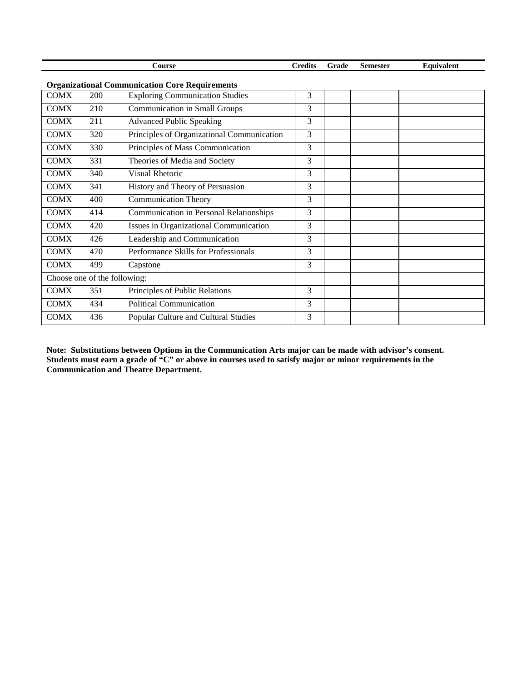| Course | <b>Credits</b> | Grade | Semester | <b>Equivalent</b> |
|--------|----------------|-------|----------|-------------------|
|        |                |       |          |                   |

COMX 200 Exploring Communication Studies 3 COMX 210 Communication in Small Groups 3 COMX 211 Advanced Public Speaking 3 COMX 320 Principles of Organizational Communication 3 COMX 330 Principles of Mass Communication 3 COMX 331 Theories of Media and Society 3 COMX 340 Visual Rhetoric 3 COMX 341 History and Theory of Persuasion 3 COMX 400 Communication Theory 3 COMX 414 Communication in Personal Relationships 3 COMX 420 Issues in Organizational Communication 3 COMX 426 Leadership and Communication 3 COMX 470 Performance Skills for Professionals 3 COMX 499 Capstone 3 Choose one of the following: COMX 351 Principles of Public Relations 3 COMX 434 Political Communication 3 COMX 436 Popular Culture and Cultural Studies 3

**Organizational Communication Core Requirements**

**Note: Substitutions between Options in the Communication Arts major can be made with advisor's consent. Students must earn a grade of "C" or above in courses used to satisfy major or minor requirements in the Communication and Theatre Department.**